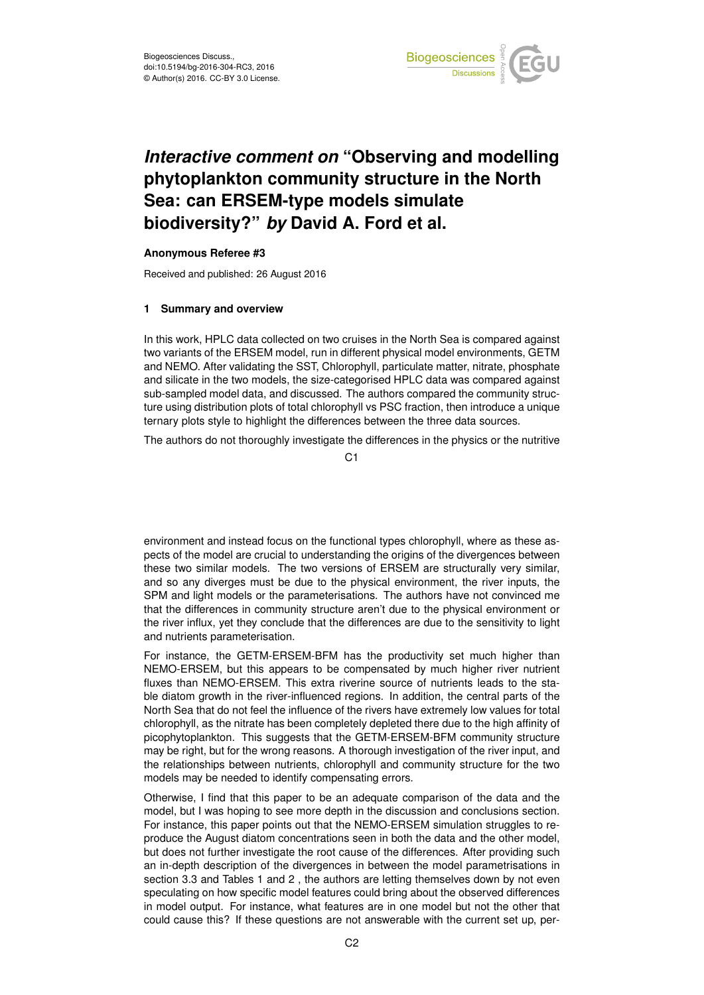

# *Interactive comment on* **"Observing and modelling phytoplankton community structure in the North Sea: can ERSEM-type models simulate biodiversity?"** *by* **David A. Ford et al.**

#### **Anonymous Referee #3**

Received and published: 26 August 2016

### **1 Summary and overview**

In this work, HPLC data collected on two cruises in the North Sea is compared against two variants of the ERSEM model, run in different physical model environments, GETM and NEMO. After validating the SST, Chlorophyll, particulate matter, nitrate, phosphate and silicate in the two models, the size-categorised HPLC data was compared against sub-sampled model data, and discussed. The authors compared the community structure using distribution plots of total chlorophyll vs PSC fraction, then introduce a unique ternary plots style to highlight the differences between the three data sources.

The authors do not thoroughly investigate the differences in the physics or the nutritive

C1

environment and instead focus on the functional types chlorophyll, where as these aspects of the model are crucial to understanding the origins of the divergences between these two similar models. The two versions of ERSEM are structurally very similar, and so any diverges must be due to the physical environment, the river inputs, the SPM and light models or the parameterisations. The authors have not convinced me that the differences in community structure aren't due to the physical environment or the river influx, yet they conclude that the differences are due to the sensitivity to light and nutrients parameterisation.

For instance, the GETM-ERSEM-BFM has the productivity set much higher than NEMO-ERSEM, but this appears to be compensated by much higher river nutrient fluxes than NEMO-ERSEM. This extra riverine source of nutrients leads to the stable diatom growth in the river-influenced regions. In addition, the central parts of the North Sea that do not feel the influence of the rivers have extremely low values for total chlorophyll, as the nitrate has been completely depleted there due to the high affinity of picophytoplankton. This suggests that the GETM-ERSEM-BFM community structure may be right, but for the wrong reasons. A thorough investigation of the river input, and the relationships between nutrients, chlorophyll and community structure for the two models may be needed to identify compensating errors.

Otherwise, I find that this paper to be an adequate comparison of the data and the model, but I was hoping to see more depth in the discussion and conclusions section. For instance, this paper points out that the NEMO-ERSEM simulation struggles to reproduce the August diatom concentrations seen in both the data and the other model, but does not further investigate the root cause of the differences. After providing such an in-depth description of the divergences in between the model parametrisations in section 3.3 and Tables 1 and 2 , the authors are letting themselves down by not even speculating on how specific model features could bring about the observed differences in model output. For instance, what features are in one model but not the other that could cause this? If these questions are not answerable with the current set up, per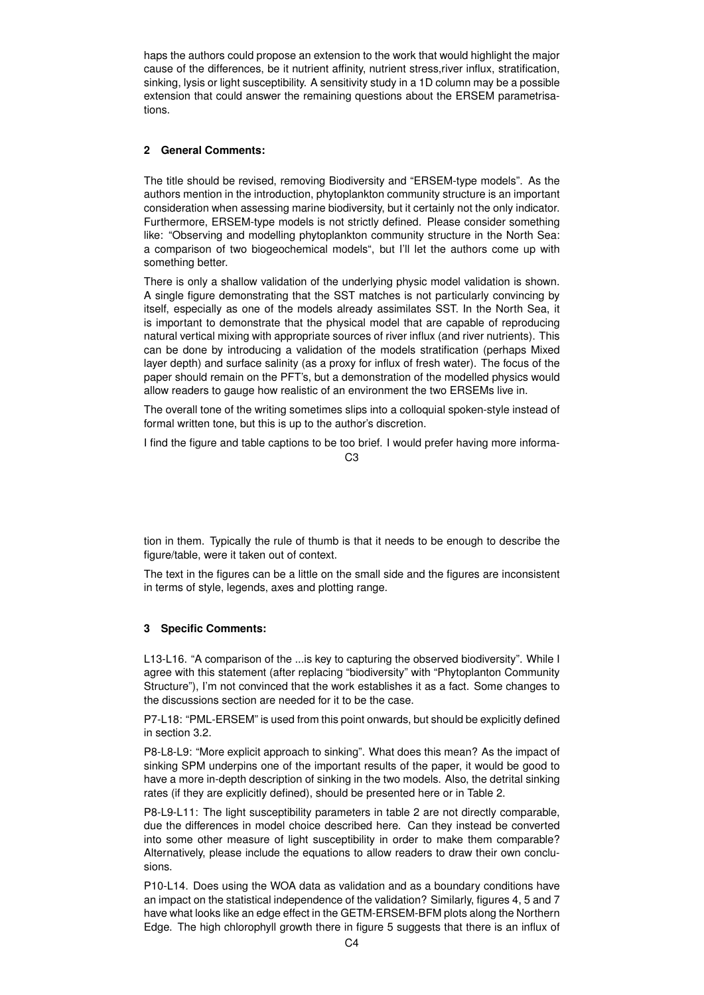haps the authors could propose an extension to the work that would highlight the major cause of the differences, be it nutrient affinity, nutrient stress,river influx, stratification, sinking, lysis or light susceptibility. A sensitivity study in a 1D column may be a possible extension that could answer the remaining questions about the ERSEM parametrisations.

## **2 General Comments:**

The title should be revised, removing Biodiversity and "ERSEM-type models". As the authors mention in the introduction, phytoplankton community structure is an important consideration when assessing marine biodiversity, but it certainly not the only indicator. Furthermore, ERSEM-type models is not strictly defined. Please consider something like: "Observing and modelling phytoplankton community structure in the North Sea: a comparison of two biogeochemical models", but I'll let the authors come up with something better.

There is only a shallow validation of the underlying physic model validation is shown. A single figure demonstrating that the SST matches is not particularly convincing by itself, especially as one of the models already assimilates SST. In the North Sea, it is important to demonstrate that the physical model that are capable of reproducing natural vertical mixing with appropriate sources of river influx (and river nutrients). This can be done by introducing a validation of the models stratification (perhaps Mixed layer depth) and surface salinity (as a proxy for influx of fresh water). The focus of the paper should remain on the PFT's, but a demonstration of the modelled physics would allow readers to gauge how realistic of an environment the two ERSEMs live in.

The overall tone of the writing sometimes slips into a colloquial spoken-style instead of formal written tone, but this is up to the author's discretion.

I find the figure and table captions to be too brief. I would prefer having more informa-

C3

tion in them. Typically the rule of thumb is that it needs to be enough to describe the figure/table, were it taken out of context.

The text in the figures can be a little on the small side and the figures are inconsistent in terms of style, legends, axes and plotting range.

## **3 Specific Comments:**

L13-L16. "A comparison of the ...is key to capturing the observed biodiversity". While I agree with this statement (after replacing "biodiversity" with "Phytoplanton Community Structure"), I'm not convinced that the work establishes it as a fact. Some changes to the discussions section are needed for it to be the case.

P7-L18: "PML-ERSEM" is used from this point onwards, but should be explicitly defined in section 3.2.

P8-L8-L9: "More explicit approach to sinking". What does this mean? As the impact of sinking SPM underpins one of the important results of the paper, it would be good to have a more in-depth description of sinking in the two models. Also, the detrital sinking rates (if they are explicitly defined), should be presented here or in Table 2.

P8-L9-L11: The light susceptibility parameters in table 2 are not directly comparable, due the differences in model choice described here. Can they instead be converted into some other measure of light susceptibility in order to make them comparable? Alternatively, please include the equations to allow readers to draw their own conclusions.

P10-L14. Does using the WOA data as validation and as a boundary conditions have an impact on the statistical independence of the validation? Similarly, figures 4, 5 and 7 have what looks like an edge effect in the GETM-ERSEM-BFM plots along the Northern Edge. The high chlorophyll growth there in figure 5 suggests that there is an influx of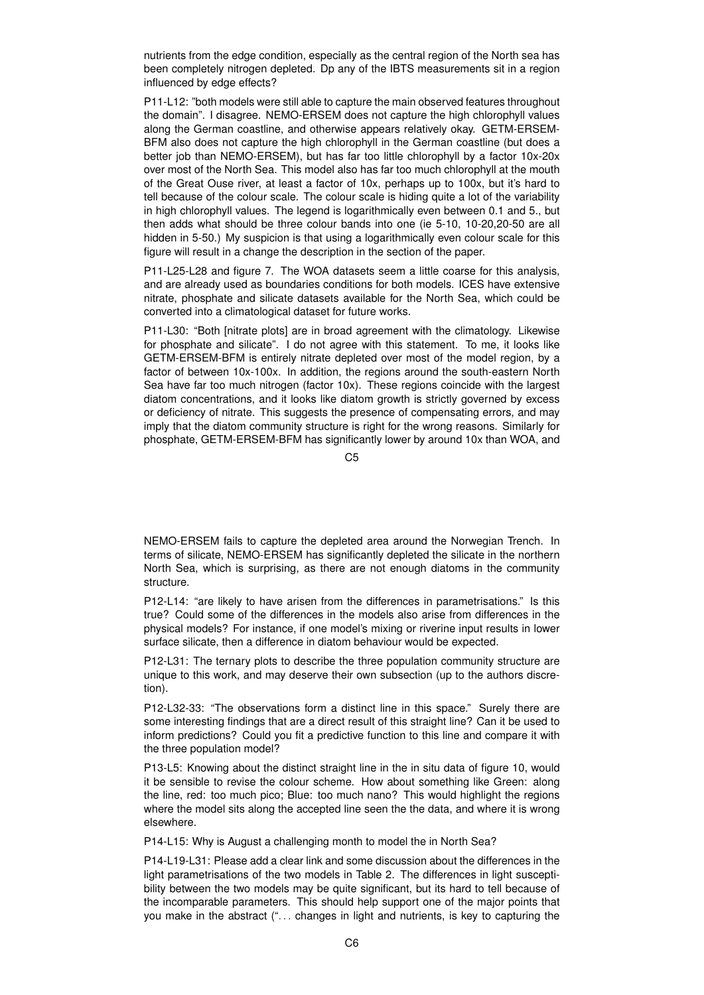nutrients from the edge condition, especially as the central region of the North sea has been completely nitrogen depleted. Dp any of the IBTS measurements sit in a region influenced by edge effects?

P11-L12: "both models were still able to capture the main observed features throughout the domain". I disagree. NEMO-ERSEM does not capture the high chlorophyll values along the German coastline, and otherwise appears relatively okay. GETM-ERSEM-BFM also does not capture the high chlorophyll in the German coastline (but does a better job than NEMO-ERSEM), but has far too little chlorophyll by a factor 10x-20x over most of the North Sea. This model also has far too much chlorophyll at the mouth of the Great Ouse river, at least a factor of 10x, perhaps up to 100x, but it's hard to tell because of the colour scale. The colour scale is hiding quite a lot of the variability in high chlorophyll values. The legend is logarithmically even between 0.1 and 5., but then adds what should be three colour bands into one (ie 5-10, 10-20,20-50 are all hidden in 5-50.) My suspicion is that using a logarithmically even colour scale for this figure will result in a change the description in the section of the paper.

P11-L25-L28 and figure 7. The WOA datasets seem a little coarse for this analysis, and are already used as boundaries conditions for both models. ICES have extensive nitrate, phosphate and silicate datasets available for the North Sea, which could be converted into a climatological dataset for future works.

P11-L30: "Both [nitrate plots] are in broad agreement with the climatology. Likewise for phosphate and silicate". I do not agree with this statement. To me, it looks like GETM-ERSEM-BFM is entirely nitrate depleted over most of the model region, by a factor of between 10x-100x. In addition, the regions around the south-eastern North Sea have far too much nitrogen (factor 10x). These regions coincide with the largest diatom concentrations, and it looks like diatom growth is strictly governed by excess or deficiency of nitrate. This suggests the presence of compensating errors, and may imply that the diatom community structure is right for the wrong reasons. Similarly for phosphate, GETM-ERSEM-BFM has significantly lower by around 10x than WOA, and

 $C<sub>5</sub>$ 

NEMO-ERSEM fails to capture the depleted area around the Norwegian Trench. In terms of silicate, NEMO-ERSEM has significantly depleted the silicate in the northern North Sea, which is surprising, as there are not enough diatoms in the community structure.

P12-L14: "are likely to have arisen from the differences in parametrisations." Is this true? Could some of the differences in the models also arise from differences in the physical models? For instance, if one model's mixing or riverine input results in lower surface silicate, then a difference in diatom behaviour would be expected.

P12-L31: The ternary plots to describe the three population community structure are unique to this work, and may deserve their own subsection (up to the authors discretion).

P12-L32-33: "The observations form a distinct line in this space." Surely there are some interesting findings that are a direct result of this straight line? Can it be used to inform predictions? Could you fit a predictive function to this line and compare it with the three population model?

P13-L5: Knowing about the distinct straight line in the in situ data of figure 10, would it be sensible to revise the colour scheme. How about something like Green: along the line, red: too much pico; Blue: too much nano? This would highlight the regions where the model sits along the accepted line seen the the data, and where it is wrong elsewhere.

P14-L15: Why is August a challenging month to model the in North Sea?

P14-L19-L31: Please add a clear link and some discussion about the differences in the light parametrisations of the two models in Table 2. The differences in light susceptibility between the two models may be quite significant, but its hard to tell because of the incomparable parameters. This should help support one of the major points that you make in the abstract (". . . changes in light and nutrients, is key to capturing the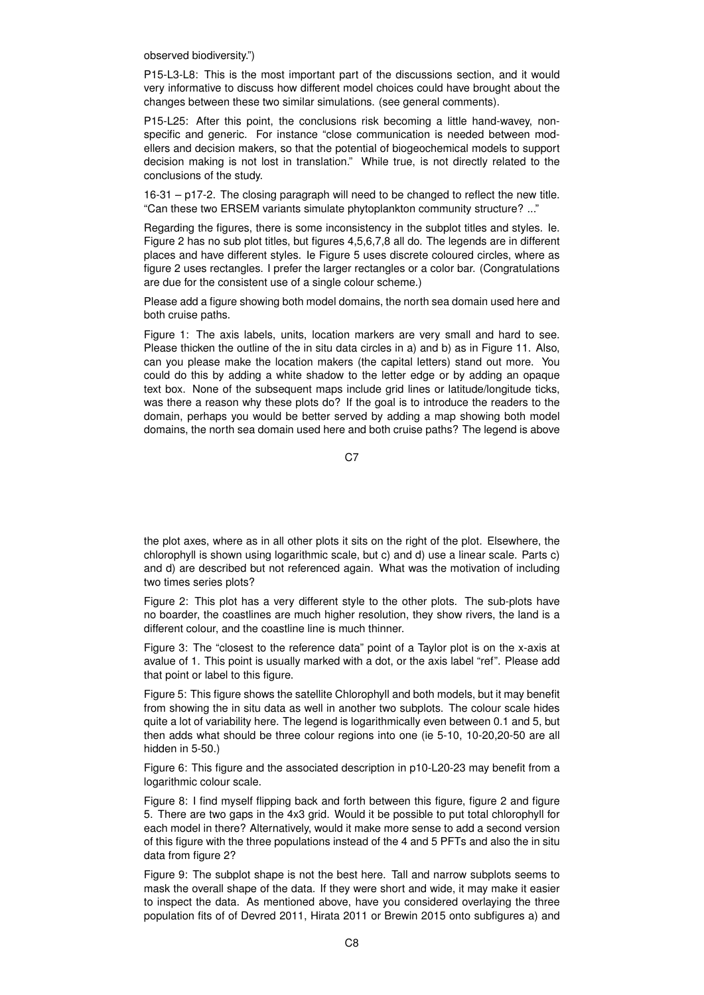observed biodiversity.")

P15-L3-L8: This is the most important part of the discussions section, and it would very informative to discuss how different model choices could have brought about the changes between these two similar simulations. (see general comments).

P15-L25: After this point, the conclusions risk becoming a little hand-wavey, nonspecific and generic. For instance "close communication is needed between modellers and decision makers, so that the potential of biogeochemical models to support decision making is not lost in translation." While true, is not directly related to the conclusions of the study.

16-31 – p17-2. The closing paragraph will need to be changed to reflect the new title. "Can these two ERSEM variants simulate phytoplankton community structure? ..."

Regarding the figures, there is some inconsistency in the subplot titles and styles. Ie. Figure 2 has no sub plot titles, but figures 4,5,6,7,8 all do. The legends are in different places and have different styles. Ie Figure 5 uses discrete coloured circles, where as figure 2 uses rectangles. I prefer the larger rectangles or a color bar. (Congratulations are due for the consistent use of a single colour scheme.)

Please add a figure showing both model domains, the north sea domain used here and both cruise paths.

Figure 1: The axis labels, units, location markers are very small and hard to see. Please thicken the outline of the in situ data circles in a) and b) as in Figure 11. Also, can you please make the location makers (the capital letters) stand out more. You could do this by adding a white shadow to the letter edge or by adding an opaque text box. None of the subsequent maps include grid lines or latitude/longitude ticks, was there a reason why these plots do? If the goal is to introduce the readers to the domain, perhaps you would be better served by adding a map showing both model domains, the north sea domain used here and both cruise paths? The legend is above

C7

the plot axes, where as in all other plots it sits on the right of the plot. Elsewhere, the chlorophyll is shown using logarithmic scale, but c) and d) use a linear scale. Parts c) and d) are described but not referenced again. What was the motivation of including two times series plots?

Figure 2: This plot has a very different style to the other plots. The sub-plots have no boarder, the coastlines are much higher resolution, they show rivers, the land is a different colour, and the coastline line is much thinner.

Figure 3: The "closest to the reference data" point of a Taylor plot is on the x-axis at avalue of 1. This point is usually marked with a dot, or the axis label "ref". Please add that point or label to this figure.

Figure 5: This figure shows the satellite Chlorophyll and both models, but it may benefit from showing the in situ data as well in another two subplots. The colour scale hides quite a lot of variability here. The legend is logarithmically even between 0.1 and 5, but then adds what should be three colour regions into one (ie 5-10, 10-20,20-50 are all hidden in 5-50.)

Figure 6: This figure and the associated description in p10-L20-23 may benefit from a logarithmic colour scale.

Figure 8: I find myself flipping back and forth between this figure, figure 2 and figure 5. There are two gaps in the 4x3 grid. Would it be possible to put total chlorophyll for each model in there? Alternatively, would it make more sense to add a second version of this figure with the three populations instead of the 4 and 5 PFTs and also the in situ data from figure 2?

Figure 9: The subplot shape is not the best here. Tall and narrow subplots seems to mask the overall shape of the data. If they were short and wide, it may make it easier to inspect the data. As mentioned above, have you considered overlaying the three population fits of of Devred 2011, Hirata 2011 or Brewin 2015 onto subfigures a) and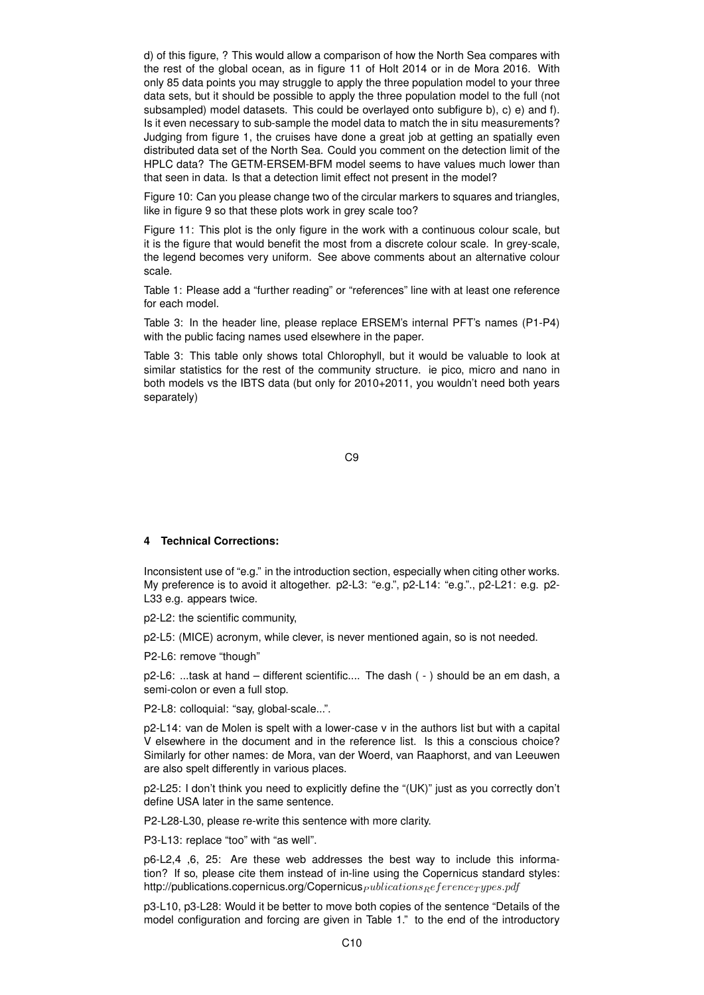d) of this figure, ? This would allow a comparison of how the North Sea compares with the rest of the global ocean, as in figure 11 of Holt 2014 or in de Mora 2016. With only 85 data points you may struggle to apply the three population model to your three data sets, but it should be possible to apply the three population model to the full (not subsampled) model datasets. This could be overlayed onto subfigure b), c) e) and f). Is it even necessary to sub-sample the model data to match the in situ measurements? Judging from figure 1, the cruises have done a great job at getting an spatially even distributed data set of the North Sea. Could you comment on the detection limit of the HPLC data? The GETM-ERSEM-BFM model seems to have values much lower than that seen in data. Is that a detection limit effect not present in the model?

Figure 10: Can you please change two of the circular markers to squares and triangles, like in figure 9 so that these plots work in grey scale too?

Figure 11: This plot is the only figure in the work with a continuous colour scale, but it is the figure that would benefit the most from a discrete colour scale. In grey-scale, the legend becomes very uniform. See above comments about an alternative colour scale.

Table 1: Please add a "further reading" or "references" line with at least one reference for each model.

Table 3: In the header line, please replace ERSEM's internal PFT's names (P1-P4) with the public facing names used elsewhere in the paper.

Table 3: This table only shows total Chlorophyll, but it would be valuable to look at similar statistics for the rest of the community structure. ie pico, micro and nano in both models vs the IBTS data (but only for 2010+2011, you wouldn't need both years separately)

C9

#### **4 Technical Corrections:**

Inconsistent use of "e.g." in the introduction section, especially when citing other works. My preference is to avoid it altogether. p2-L3: "e.g.", p2-L14: "e.g."., p2-L21: e.g. p2- L33 e.g. appears twice.

p2-L2: the scientific community,

p2-L5: (MICE) acronym, while clever, is never mentioned again, so is not needed.

P2-L6: remove "though"

p2-L6: ...task at hand – different scientific.... The dash ( - ) should be an em dash, a semi-colon or even a full stop.

P2-L8: colloquial: "say, global-scale...".

p2-L14: van de Molen is spelt with a lower-case v in the authors list but with a capital V elsewhere in the document and in the reference list. Is this a conscious choice? Similarly for other names: de Mora, van der Woerd, van Raaphorst, and van Leeuwen are also spelt differently in various places.

p2-L25: I don't think you need to explicitly define the "(UK)" just as you correctly don't define USA later in the same sentence.

P2-L28-L30, please re-write this sentence with more clarity.

P3-L13: replace "too" with "as well".

p6-L2,4 ,6, 25: Are these web addresses the best way to include this information? If so, please cite them instead of in-line using the Copernicus standard styles: http://publications.copernicus.org/Copernicus  $_{publications}$  ference $_{Type}$ s.pdf

p3-L10, p3-L28: Would it be better to move both copies of the sentence "Details of the model configuration and forcing are given in Table 1." to the end of the introductory